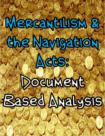## MeRcantillsM & the Navigation

Acts:

# Document

## **Based Ayalysis**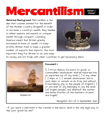### Mercantilism EXPORT >

Historical Background: Mercantilism is the idea that colonies existed for the benefit of the Mother Country (England). In order to increase a country's wealth, they needed to either explore and expand or conquer wealth through conquest. Colonizing America meant that Britain greatly increased its base of wealth. To keep profits, Britain tried to keep a greater number of exports than imports. The most important thing for Britain to do was keep



its money and not trade with other countries to get necessary items.



Navigation Act

#### Document **1:**

"[...] From thence forward, no goods or commodities whatsoever shall be imported into or exported out of any lands [...] in any other [...] ships or [...] vessels whatsoever, but in such ships or vessels as do truly and without fraud belong only to the people of England [...] or are built of any belonging to any the lands [of English people] and whereof the master and three fourths of the mariners at least are English."

Navigation Act of 13 September 1660

1. If you were a merchant in the colonies in the 1660s, what is the only legal way to ship your goods by sea?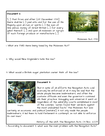#### Document 2:

"[...] That from and after [25 December 1733] there shall be [...] paid unto and for the use of His Majesty...upon all rum or spirits [...] the sum of nine pence, money of Great Britain [...] for every gallon thereof. [...] and upon all molasses or syrups of such foreign produce or manufacture [...]



arvesting Sugar Ca

Molasses Act, 1733

1. What are TWO items being taxed by the Molasses Act?

- 2. Why would New Englanders hate this law?
- 3. What would a British sugar plantation owner think of this law?



Smuggling

#### Document 3:

"But in spite of all efforts the Navigation Acts cold scarcely be enforced at all. It may be said that the whole people became lawbreakers, and often the customs officials and even the governor's connived ath their practice. Smuggling was universal. It went on regardless of the admiralty courts established in most of the colonies. "Juries found their verdicts against the most undoubted facts." The Molasses Act was

certainly an economic and political [mistake]; it not only made the people lawbreakers, it led them to hold Parliament in contempt, as not able to enforce its own laws."

History of the USA: The Navigation Acts. 03 Nov.. 2009

1. According to document 3, what was the main problem with the Navigation Acts?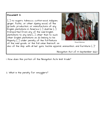#### Document 4:

'[...] no sugars, tobacco, cotton-wool, indigoes, ginger, fustic, or other dyeing wood, of the growth, production, or manufacture of any English plantations in America [...] shall be  $[\cdot,\cdot]$ transported from any of the said English plantations to any land [...] other than to such other English plantations as do belong to his Majesty [...] under penalty of the forfeiture of the said goods, or the full value thereof, as



Royal Marines

also of the ship, with all her quns, tackle apparel, ammunition, and furniture  $[\cdot,\cdot]$ "

Navigation Act of 13 September 1660

1. How does this portion of the Navigation Acts limit trade?

2. What is the penalty for smugglers?